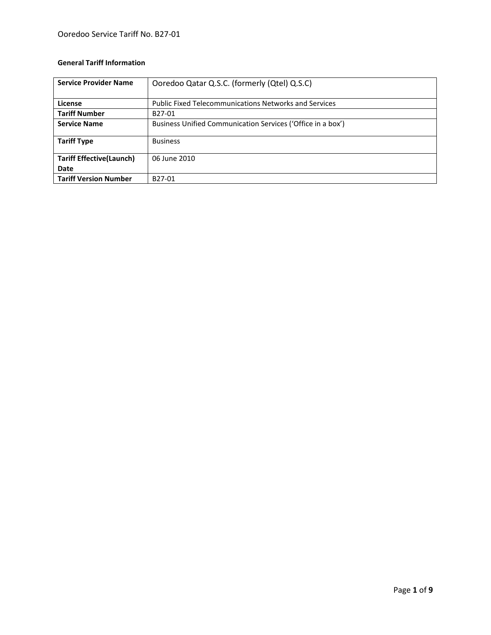## **General Tariff Information**

| <b>Service Provider Name</b>    | Ooredoo Qatar Q.S.C. (formerly (Qtel) Q.S.C)                 |
|---------------------------------|--------------------------------------------------------------|
| License                         | <b>Public Fixed Telecommunications Networks and Services</b> |
| <b>Tariff Number</b>            | B27-01                                                       |
| <b>Service Name</b>             | Business Unified Communication Services ('Office in a box')  |
| <b>Tariff Type</b>              | <b>Business</b>                                              |
| <b>Tariff Effective(Launch)</b> | 06 June 2010                                                 |
| Date                            |                                                              |
| <b>Tariff Version Number</b>    | B <sub>27</sub> -01                                          |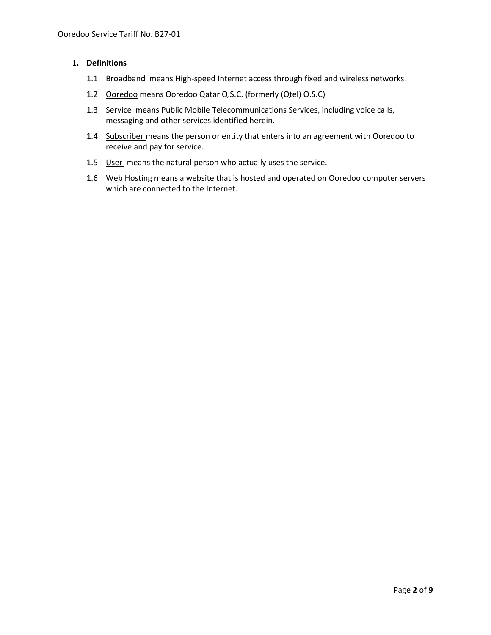### **1. Definitions**

- 1.1 Broadband means High-speed Internet access through fixed and wireless networks.
- 1.2 Ooredoo means Ooredoo Qatar Q.S.C. (formerly (Qtel) Q.S.C)
- 1.3 Service means Public Mobile Telecommunications Services, including voice calls, messaging and other services identified herein.
- 1.4 Subscriber means the person or entity that enters into an agreement with Ooredoo to receive and pay for service.
- 1.5 User means the natural person who actually uses the service.
- 1.6 Web Hosting means a website that is hosted and operated on Ooredoo computer servers which are connected to the Internet.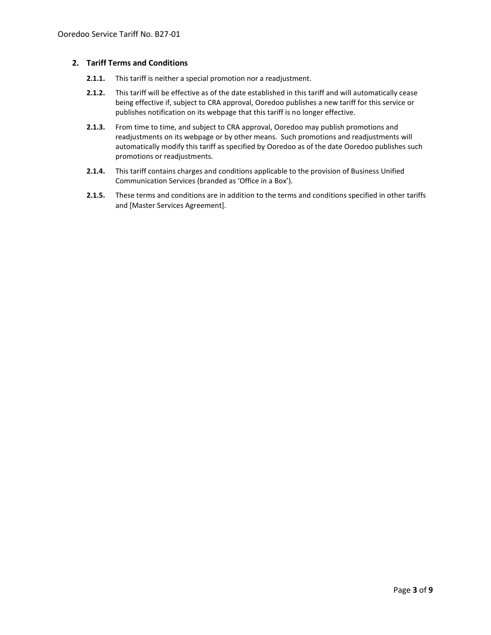#### **2. Tariff Terms and Conditions**

- **2.1.1.** This tariff is neither a special promotion nor a readjustment.
- **2.1.2.** This tariff will be effective as of the date established in this tariff and will automatically cease being effective if, subject to CRA approval, Ooredoo publishes a new tariff for this service or publishes notification on its webpage that this tariff is no longer effective.
- **2.1.3.** From time to time, and subject to CRA approval, Ooredoo may publish promotions and readjustments on its webpage or by other means. Such promotions and readjustments will automatically modify this tariff as specified by Ooredoo as of the date Ooredoo publishes such promotions or readjustments.
- **2.1.4.** This tariff contains charges and conditions applicable to the provision of Business Unified Communication Services (branded as 'Office in a Box').
- **2.1.5.** These terms and conditions are in addition to the terms and conditions specified in other tariffs and [Master Services Agreement].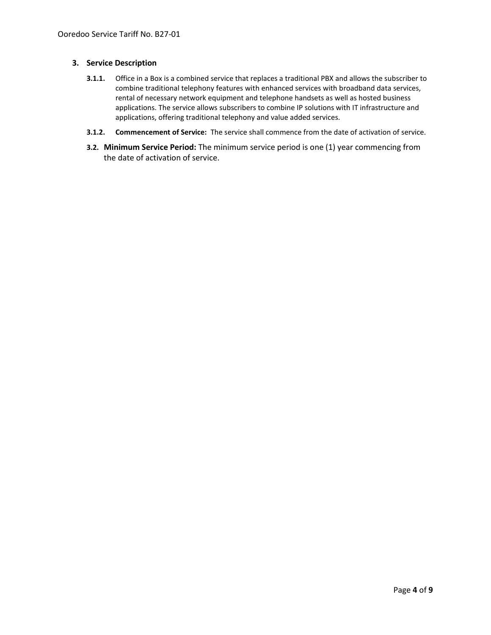### **3. Service Description**

- **3.1.1.** Office in a Box is a combined service that replaces a traditional PBX and allows the subscriber to combine traditional telephony features with enhanced services with broadband data services, rental of necessary network equipment and telephone handsets as well as hosted business applications. The service allows subscribers to combine IP solutions with IT infrastructure and applications, offering traditional telephony and value added services.
- **3.1.2. Commencement of Service:** The service shall commence from the date of activation of service.
- **3.2. Minimum Service Period:** The minimum service period is one (1) year commencing from the date of activation of service.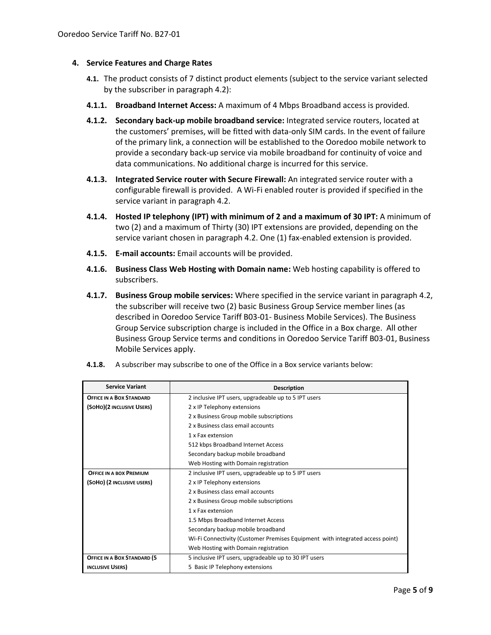### **4. Service Features and Charge Rates**

- **4.1.** The product consists of 7 distinct product elements (subject to the service variant selected by the subscriber in paragraph 4.2):
- **4.1.1. Broadband Internet Access:** A maximum of 4 Mbps Broadband access is provided.
- **4.1.2. Secondary back-up mobile broadband service:** Integrated service routers, located at the customers' premises, will be fitted with data-only SIM cards. In the event of failure of the primary link, a connection will be established to the Ooredoo mobile network to provide a secondary back-up service via mobile broadband for continuity of voice and data communications. No additional charge is incurred for this service.
- **4.1.3. Integrated Service router with Secure Firewall:** An integrated service router with a configurable firewall is provided. A Wi-Fi enabled router is provided if specified in the service variant in paragraph 4.2.
- **4.1.4. Hosted IP telephony (IPT) with minimum of 2 and a maximum of 30 IPT:** A minimum of two (2) and a maximum of Thirty (30) IPT extensions are provided, depending on the service variant chosen in paragraph 4.2. One (1) fax-enabled extension is provided.
- **4.1.5. E-mail accounts:** Email accounts will be provided.
- **4.1.6. Business Class Web Hosting with Domain name:** Web hosting capability is offered to subscribers.
- **4.1.7. Business Group mobile services:** Where specified in the service variant in paragraph 4.2, the subscriber will receive two (2) basic Business Group Service member lines (as described in Ooredoo Service Tariff B03-01- Business Mobile Services). The Business Group Service subscription charge is included in the Office in a Box charge. All other Business Group Service terms and conditions in Ooredoo Service Tariff B03-01, Business Mobile Services apply.

| <b>Service Variant</b>          | <b>Description</b>                                                            |  |  |  |  |
|---------------------------------|-------------------------------------------------------------------------------|--|--|--|--|
| <b>OFFICE IN A BOX STANDARD</b> | 2 inclusive IPT users, upgradeable up to 5 IPT users                          |  |  |  |  |
| (SOHO)(2 INCLUSIVE USERS)       | 2 x IP Telephony extensions                                                   |  |  |  |  |
|                                 | 2 x Business Group mobile subscriptions                                       |  |  |  |  |
|                                 | 2 x Business class email accounts                                             |  |  |  |  |
|                                 | 1 x Fax extension                                                             |  |  |  |  |
|                                 | 512 kbps Broadband Internet Access                                            |  |  |  |  |
|                                 | Secondary backup mobile broadband                                             |  |  |  |  |
|                                 | Web Hosting with Domain registration                                          |  |  |  |  |
| <b>OFFICE IN A BOX PREMIUM</b>  | 2 inclusive IPT users, upgradeable up to 5 IPT users                          |  |  |  |  |
| (SOHO) (2 INCLUSIVE USERS)      | 2 x IP Telephony extensions                                                   |  |  |  |  |
|                                 | 2 x Business class email accounts                                             |  |  |  |  |
|                                 | 2 x Business Group mobile subscriptions                                       |  |  |  |  |
|                                 | 1 x Fax extension                                                             |  |  |  |  |
|                                 | 1.5 Mbps Broadband Internet Access                                            |  |  |  |  |
|                                 | Secondary backup mobile broadband                                             |  |  |  |  |
|                                 | Wi-Fi Connectivity (Customer Premises Equipment with integrated access point) |  |  |  |  |
|                                 | Web Hosting with Domain registration                                          |  |  |  |  |
| OFFICE IN A BOX STANDARD (5     | 5 inclusive IPT users, upgradeable up to 30 IPT users                         |  |  |  |  |
| INCLUSIVE USERS)                | 5 Basic IP Telephony extensions                                               |  |  |  |  |

**4.1.8.** A subscriber may subscribe to one of the Office in a Box service variants below: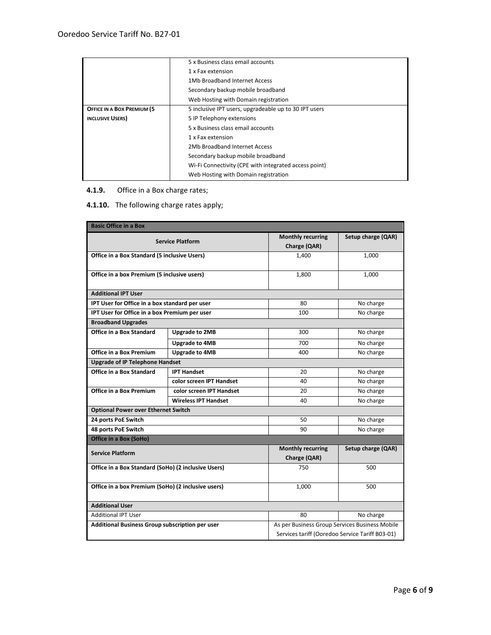|                            | 5 x Business class email accounts                     |  |  |
|----------------------------|-------------------------------------------------------|--|--|
|                            | 1 x Fax extension                                     |  |  |
|                            | 1Mb Broadband Internet Access                         |  |  |
|                            | Secondary backup mobile broadband                     |  |  |
|                            | Web Hosting with Domain registration                  |  |  |
| OFFICE IN A BOX PREMIUM (5 | 5 inclusive IPT users, upgradeable up to 30 IPT users |  |  |
| <b>INCLUSIVE USERS</b> )   | 5 IP Telephony extensions                             |  |  |
|                            | 5 x Business class email accounts                     |  |  |
|                            | 1 x Fax extension                                     |  |  |
|                            | 2Mb Broadband Internet Access                         |  |  |
|                            | Secondary backup mobile broadband                     |  |  |
|                            | Wi-Fi Connectivity (CPE with integrated access point) |  |  |
|                            | Web Hosting with Domain registration                  |  |  |

# **4.1.9.** Office in a Box charge rates;

# **4.1.10.** The following charge rates apply;

| <b>Basic Office in a Box</b>                        |                                                |                          |                                                 |  |  |  |
|-----------------------------------------------------|------------------------------------------------|--------------------------|-------------------------------------------------|--|--|--|
|                                                     |                                                |                          |                                                 |  |  |  |
| <b>Service Platform</b>                             |                                                | <b>Monthly recurring</b> | Setup charge (QAR)                              |  |  |  |
|                                                     |                                                | Charge (QAR)             |                                                 |  |  |  |
| Office in a Box Standard (5 inclusive Users)        |                                                | 1,400                    | 1,000                                           |  |  |  |
|                                                     |                                                |                          |                                                 |  |  |  |
| Office in a box Premium (5 inclusive users)         |                                                | 1,800                    | 1.000                                           |  |  |  |
|                                                     |                                                |                          |                                                 |  |  |  |
| <b>Additional IPT User</b>                          |                                                |                          |                                                 |  |  |  |
|                                                     | IPT User for Office in a box standard per user |                          | No charge                                       |  |  |  |
|                                                     | IPT User for Office in a box Premium per user  |                          | No charge                                       |  |  |  |
| <b>Broadband Upgrades</b>                           |                                                |                          |                                                 |  |  |  |
| Office in a Box Standard                            | <b>Upgrade to 2MB</b>                          | 300                      | No charge                                       |  |  |  |
|                                                     | Upgrade to 4MB                                 | 700                      | No charge                                       |  |  |  |
| <b>Office in a Box Premium</b>                      | Upgrade to 4MB                                 | 400                      | No charge                                       |  |  |  |
| <b>Upgrade of IP Telephone Handset</b>              |                                                |                          |                                                 |  |  |  |
| <b>Office in a Box Standard</b>                     | <b>IPT Handset</b>                             | 20                       | No charge                                       |  |  |  |
|                                                     | color screen IPT Handset                       | 40                       | No charge                                       |  |  |  |
| Office in a Box Premium                             | color screen IPT Handset                       | 20                       | No charge                                       |  |  |  |
|                                                     | <b>Wireless IPT Handset</b>                    | 40                       | No charge                                       |  |  |  |
| <b>Optional Power over Ethernet Switch</b>          |                                                |                          |                                                 |  |  |  |
| 24 ports PoE Switch                                 |                                                | 50                       | No charge                                       |  |  |  |
| 48 ports PoE Switch                                 |                                                | 90                       | No charge                                       |  |  |  |
| Office in a Box (SoHo)                              |                                                |                          |                                                 |  |  |  |
| <b>Service Platform</b>                             |                                                | <b>Monthly recurring</b> | Setup charge (QAR)                              |  |  |  |
|                                                     |                                                | Charge (QAR)             |                                                 |  |  |  |
| Office in a Box Standard (SoHo) (2 inclusive Users) |                                                | 750                      | 500                                             |  |  |  |
|                                                     |                                                |                          |                                                 |  |  |  |
| Office in a box Premium (SoHo) (2 inclusive users)  |                                                | 1.000                    | 500                                             |  |  |  |
|                                                     |                                                |                          |                                                 |  |  |  |
| <b>Additional User</b>                              |                                                |                          |                                                 |  |  |  |
| <b>Additional IPT User</b>                          |                                                | 80                       | No charge                                       |  |  |  |
| Additional Business Group subscription per user     |                                                |                          | As per Business Group Services Business Mobile  |  |  |  |
|                                                     |                                                |                          | Services tariff (Ooredoo Service Tariff B03-01) |  |  |  |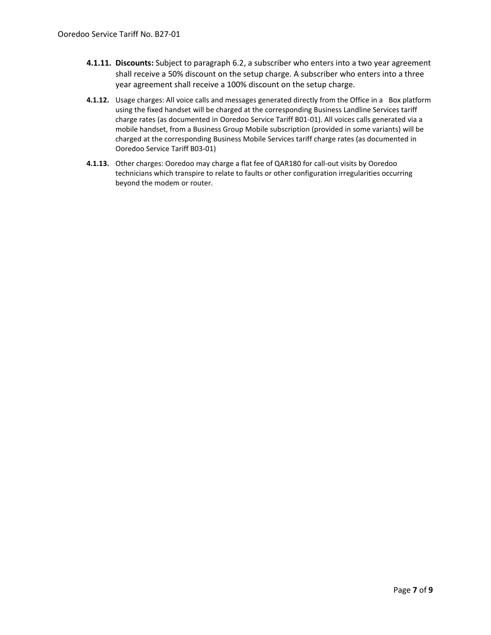- **4.1.11. Discounts:** Subject to paragraph 6.2, a subscriber who enters into a two year agreement shall receive a 50% discount on the setup charge. A subscriber who enters into a three year agreement shall receive a 100% discount on the setup charge.
- **4.1.12.** Usage charges: All voice calls and messages generated directly from the Office in a Box platform using the fixed handset will be charged at the corresponding Business Landline Services tariff charge rates (as documented in Ooredoo Service Tariff B01-01). All voices calls generated via a mobile handset, from a Business Group Mobile subscription (provided in some variants) will be charged at the corresponding Business Mobile Services tariff charge rates (as documented in Ooredoo Service Tariff B03-01)
- **4.1.13.** Other charges: Ooredoo may charge a flat fee of QAR180 for call-out visits by Ooredoo technicians which transpire to relate to faults or other configuration irregularities occurring beyond the modem or router.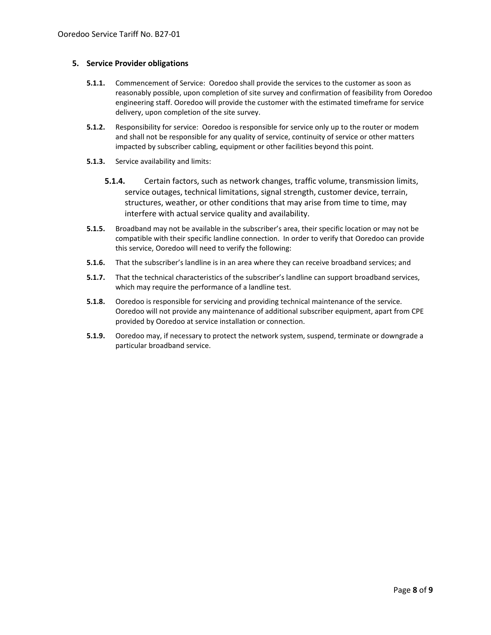#### **5. Service Provider obligations**

- **5.1.1.** Commencement of Service: Ooredoo shall provide the services to the customer as soon as reasonably possible, upon completion of site survey and confirmation of feasibility from Ooredoo engineering staff. Ooredoo will provide the customer with the estimated timeframe for service delivery, upon completion of the site survey.
- **5.1.2.** Responsibility for service: Ooredoo is responsible for service only up to the router or modem and shall not be responsible for any quality of service, continuity of service or other matters impacted by subscriber cabling, equipment or other facilities beyond this point.
- **5.1.3.** Service availability and limits:
	- **5.1.4.** Certain factors, such as network changes, traffic volume, transmission limits, service outages, technical limitations, signal strength, customer device, terrain, structures, weather, or other conditions that may arise from time to time, may interfere with actual service quality and availability.
- **5.1.5.** Broadband may not be available in the subscriber's area, their specific location or may not be compatible with their specific landline connection. In order to verify that Ooredoo can provide this service, Ooredoo will need to verify the following:
- **5.1.6.** That the subscriber's landline is in an area where they can receive broadband services; and
- **5.1.7.** That the technical characteristics of the subscriber's landline can support broadband services, which may require the performance of a landline test.
- **5.1.8.** Ooredoo is responsible for servicing and providing technical maintenance of the service. Ooredoo will not provide any maintenance of additional subscriber equipment, apart from CPE provided by Ooredoo at service installation or connection.
- **5.1.9.** Ooredoo may, if necessary to protect the network system, suspend, terminate or downgrade a particular broadband service.